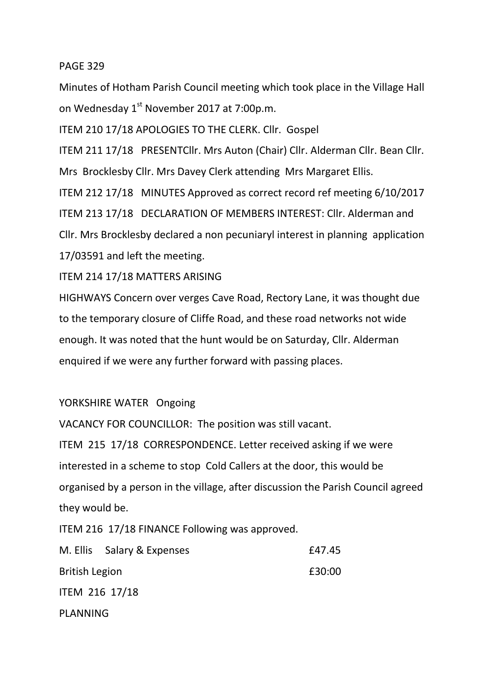## PAGE 329

Minutes of Hotham Parish Council meeting which took place in the Village Hall on Wednesday 1<sup>st</sup> November 2017 at 7:00p.m.

ITEM 210 17/18 APOLOGIES TO THE CLERK. Cllr. Gospel

ITEM 211 17/18 PRESENTCllr. Mrs Auton (Chair) Cllr. Alderman Cllr. Bean Cllr. Mrs Brocklesby Cllr. Mrs Davey Clerk attending Mrs Margaret Ellis.

ITEM 212 17/18 MINUTES Approved as correct record ref meeting 6/10/2017 ITEM 213 17/18 DECLARATION OF MEMBERS INTEREST: Cllr. Alderman and Cllr. Mrs Brocklesby declared a non pecuniaryl interest in planning application 17/03591 and left the meeting.

ITEM 214 17/18 MATTERS ARISING

HIGHWAYS Concern over verges Cave Road, Rectory Lane, it was thought due to the temporary closure of Cliffe Road, and these road networks not wide enough. It was noted that the hunt would be on Saturday, Cllr. Alderman enquired if we were any further forward with passing places.

## YORKSHIRE WATER Ongoing

VACANCY FOR COUNCILLOR: The position was still vacant.

ITEM 215 17/18 CORRESPONDENCE. Letter received asking if we were interested in a scheme to stop Cold Callers at the door, this would be organised by a person in the village, after discussion the Parish Council agreed they would be.

ITEM 216 17/18 FINANCE Following was approved.

|                       | M. Ellis Salary & Expenses | £47.45 |
|-----------------------|----------------------------|--------|
| <b>British Legion</b> |                            | £30:00 |
| <b>ITEM 216 17/18</b> |                            |        |
| <b>PLANNING</b>       |                            |        |